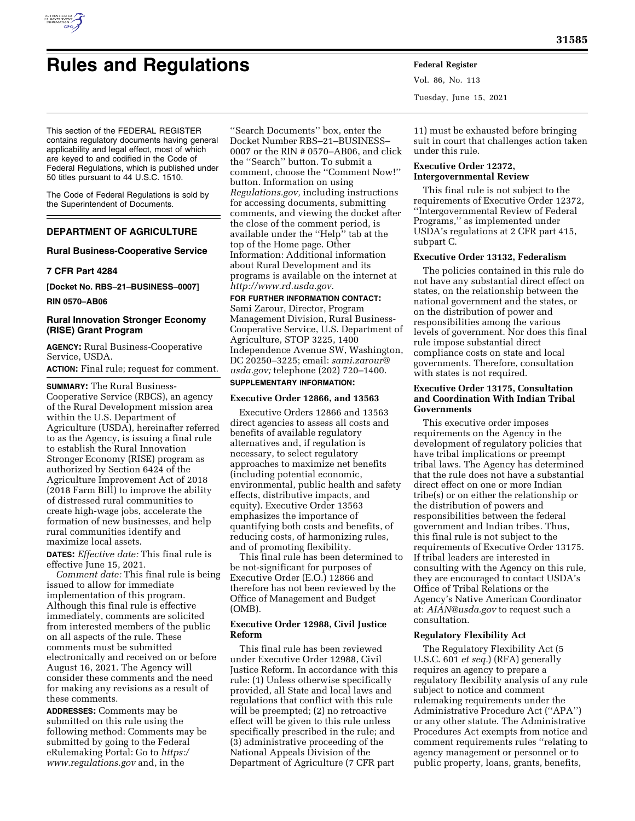

# **Rules and Regulations Federal Register**

Vol. 86, No. 113 Tuesday, June 15, 2021

This section of the FEDERAL REGISTER contains regulatory documents having general applicability and legal effect, most of which are keyed to and codified in the Code of Federal Regulations, which is published under 50 titles pursuant to 44 U.S.C. 1510.

The Code of Federal Regulations is sold by the Superintendent of Documents.

# **DEPARTMENT OF AGRICULTURE**

# **Rural Business-Cooperative Service**

# **7 CFR Part 4284**

**[Docket No. RBS–21–BUSINESS–0007]** 

**RIN 0570–AB06** 

# **Rural Innovation Stronger Economy (RISE) Grant Program**

**AGENCY:** Rural Business-Cooperative Service, USDA.

**ACTION:** Final rule; request for comment.

**SUMMARY:** The Rural Business-Cooperative Service (RBCS), an agency of the Rural Development mission area within the U.S. Department of Agriculture (USDA), hereinafter referred to as the Agency, is issuing a final rule to establish the Rural Innovation Stronger Economy (RISE) program as authorized by Section 6424 of the Agriculture Improvement Act of 2018 (2018 Farm Bill) to improve the ability of distressed rural communities to create high-wage jobs, accelerate the formation of new businesses, and help rural communities identify and maximize local assets.

**DATES:** *Effective date:* This final rule is effective June 15, 2021.

*Comment date:* This final rule is being issued to allow for immediate implementation of this program. Although this final rule is effective immediately, comments are solicited from interested members of the public on all aspects of the rule. These comments must be submitted electronically and received on or before August 16, 2021. The Agency will consider these comments and the need for making any revisions as a result of these comments.

**ADDRESSES:** Comments may be submitted on this rule using the following method: Comments may be submitted by going to the Federal eRulemaking Portal: Go to *[https:/](https://www.regulations.gov) [www.regulations.gov](https://www.regulations.gov)* and, in the

''Search Documents'' box, enter the Docket Number RBS–21–BUSINESS– 0007 or the RIN # 0570–AB06, and click the ''Search'' button. To submit a comment, choose the ''Comment Now!'' button. Information on using *Regulations.gov,* including instructions for accessing documents, submitting comments, and viewing the docket after the close of the comment period, is available under the ''Help'' tab at the top of the Home page. Other Information: Additional information about Rural Development and its programs is available on the internet at *[http://www.rd.usda.gov.](http://www.rd.usda.gov)* 

#### **FOR FURTHER INFORMATION CONTACT:**

Sami Zarour, Director, Program Management Division, Rural Business-Cooperative Service, U.S. Department of Agriculture, STOP 3225, 1400 Independence Avenue SW, Washington, DC 20250–3225; email: *[sami.zarour@](mailto:sami.zarour@usda.gov) [usda.gov;](mailto:sami.zarour@usda.gov)* telephone (202) 720–1400. **SUPPLEMENTARY INFORMATION:** 

# **Executive Order 12866, and 13563**

Executive Orders 12866 and 13563 direct agencies to assess all costs and benefits of available regulatory alternatives and, if regulation is necessary, to select regulatory approaches to maximize net benefits (including potential economic, environmental, public health and safety effects, distributive impacts, and equity). Executive Order 13563 emphasizes the importance of quantifying both costs and benefits, of reducing costs, of harmonizing rules, and of promoting flexibility.

This final rule has been determined to be not-significant for purposes of Executive Order (E.O.) 12866 and therefore has not been reviewed by the Office of Management and Budget (OMB).

# **Executive Order 12988, Civil Justice Reform**

This final rule has been reviewed under Executive Order 12988, Civil Justice Reform. In accordance with this rule: (1) Unless otherwise specifically provided, all State and local laws and regulations that conflict with this rule will be preempted; (2) no retroactive effect will be given to this rule unless specifically prescribed in the rule; and (3) administrative proceeding of the National Appeals Division of the Department of Agriculture (7 CFR part

11) must be exhausted before bringing suit in court that challenges action taken under this rule.

# **Executive Order 12372, Intergovernmental Review**

This final rule is not subject to the requirements of Executive Order 12372, ''Intergovernmental Review of Federal Programs,'' as implemented under USDA's regulations at 2 CFR part 415, subpart C.

# **Executive Order 13132, Federalism**

The policies contained in this rule do not have any substantial direct effect on states, on the relationship between the national government and the states, or on the distribution of power and responsibilities among the various levels of government. Nor does this final rule impose substantial direct compliance costs on state and local governments. Therefore, consultation with states is not required.

# **Executive Order 13175, Consultation and Coordination With Indian Tribal Governments**

This executive order imposes requirements on the Agency in the development of regulatory policies that have tribal implications or preempt tribal laws. The Agency has determined that the rule does not have a substantial direct effect on one or more Indian tribe(s) or on either the relationship or the distribution of powers and responsibilities between the federal government and Indian tribes. Thus, this final rule is not subject to the requirements of Executive Order 13175. If tribal leaders are interested in consulting with the Agency on this rule, they are encouraged to contact USDA's Office of Tribal Relations or the Agency's Native American Coordinator at: *[AIAN@usda.gov](mailto:AIAN@usda.gov)* to request such a consultation.

#### **Regulatory Flexibility Act**

The Regulatory Flexibility Act (5 U.S.C. 601 *et seq.*) (RFA) generally requires an agency to prepare a regulatory flexibility analysis of any rule subject to notice and comment rulemaking requirements under the Administrative Procedure Act (''APA'') or any other statute. The Administrative Procedures Act exempts from notice and comment requirements rules ''relating to agency management or personnel or to public property, loans, grants, benefits,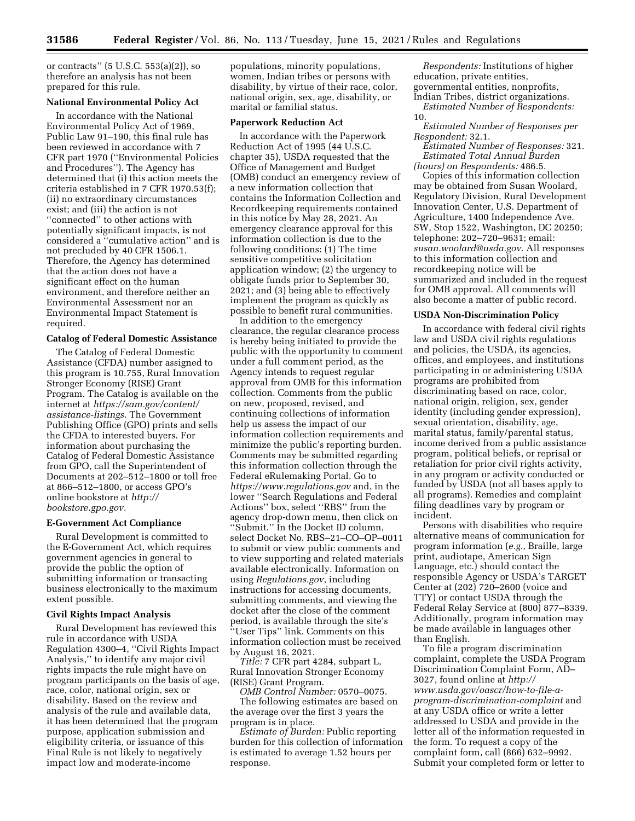or contracts'' (5 U.S.C. 553(a)(2)), so therefore an analysis has not been prepared for this rule.

### **National Environmental Policy Act**

In accordance with the National Environmental Policy Act of 1969, Public Law 91–190, this final rule has been reviewed in accordance with 7 CFR part 1970 (''Environmental Policies and Procedures''). The Agency has determined that (i) this action meets the criteria established in 7 CFR 1970.53(f); (ii) no extraordinary circumstances exist; and (iii) the action is not "connected" to other actions with potentially significant impacts, is not considered a ''cumulative action'' and is not precluded by 40 CFR 1506.1. Therefore, the Agency has determined that the action does not have a significant effect on the human environment, and therefore neither an Environmental Assessment nor an Environmental Impact Statement is required.

#### **Catalog of Federal Domestic Assistance**

The Catalog of Federal Domestic Assistance (CFDA) number assigned to this program is 10.755, Rural Innovation Stronger Economy (RISE) Grant Program. The Catalog is available on the internet at *[https://sam.gov/content/](https://sam.gov/content/assistance-listings) [assistance-listings.](https://sam.gov/content/assistance-listings)* The Government Publishing Office (GPO) prints and sells the CFDA to interested buyers. For information about purchasing the Catalog of Federal Domestic Assistance from GPO, call the Superintendent of Documents at 202–512–1800 or toll free at 866–512–1800, or access GPO's online bookstore at *[http://](http://bookstore.gpo.gov) [bookstore.gpo.gov.](http://bookstore.gpo.gov)* 

#### **E-Government Act Compliance**

Rural Development is committed to the E-Government Act, which requires government agencies in general to provide the public the option of submitting information or transacting business electronically to the maximum extent possible.

#### **Civil Rights Impact Analysis**

Rural Development has reviewed this rule in accordance with USDA Regulation 4300–4, ''Civil Rights Impact Analysis,'' to identify any major civil rights impacts the rule might have on program participants on the basis of age, race, color, national origin, sex or disability. Based on the review and analysis of the rule and available data, it has been determined that the program purpose, application submission and eligibility criteria, or issuance of this Final Rule is not likely to negatively impact low and moderate-income

populations, minority populations, women, Indian tribes or persons with disability, by virtue of their race, color, national origin, sex, age, disability, or marital or familial status.

#### **Paperwork Reduction Act**

In accordance with the Paperwork Reduction Act of 1995 (44 U.S.C. chapter 35), USDA requested that the Office of Management and Budget (OMB) conduct an emergency review of a new information collection that contains the Information Collection and Recordkeeping requirements contained in this notice by May 28, 2021. An emergency clearance approval for this information collection is due to the following conditions: (1) The time sensitive competitive solicitation application window; (2) the urgency to obligate funds prior to September 30, 2021; and (3) being able to effectively implement the program as quickly as possible to benefit rural communities.

In addition to the emergency clearance, the regular clearance process is hereby being initiated to provide the public with the opportunity to comment under a full comment period, as the Agency intends to request regular approval from OMB for this information collection. Comments from the public on new, proposed, revised, and continuing collections of information help us assess the impact of our information collection requirements and minimize the public's reporting burden. Comments may be submitted regarding this information collection through the Federal eRulemaking Portal. Go to *<https://www.regulations.gov>* and, in the lower ''Search Regulations and Federal Actions'' box, select ''RBS'' from the agency drop-down menu, then click on ''Submit.'' In the Docket ID column, select Docket No. RBS–21–CO–OP–0011 to submit or view public comments and to view supporting and related materials available electronically. Information on using *Regulations.gov*, including instructions for accessing documents, submitting comments, and viewing the docket after the close of the comment period, is available through the site's ''User Tips'' link. Comments on this information collection must be received by August 16, 2021.

*Title:* 7 CFR part 4284, subpart L, Rural Innovation Stronger Economy (RISE) Grant Program.

*OMB Control Number:* 0570–0075. The following estimates are based on the average over the first 3 years the program is in place.

*Estimate of Burden:* Public reporting burden for this collection of information is estimated to average 1.52 hours per response.

*Respondents:* Institutions of higher education, private entities, governmental entities, nonprofits, Indian Tribes, district organizations. *Estimated Number of Respondents:*  10.

*Estimated Number of Responses per Respondent:* 32.1.

*Estimated Number of Responses:* 321. *Estimated Total Annual Burden (hours) on Respondents:* 486.5.

Copies of this information collection may be obtained from Susan Woolard, Regulatory Division, Rural Development Innovation Center, U.S. Department of Agriculture, 1400 Independence Ave. SW, Stop 1522, Washington, DC 20250; telephone: 202–720–9631; email: *[susan.woolard@usda.gov.](mailto:susan.woolard@usda.gov)* All responses to this information collection and recordkeeping notice will be summarized and included in the request for OMB approval. All comments will also become a matter of public record.

#### **USDA Non-Discrimination Policy**

In accordance with federal civil rights law and USDA civil rights regulations and policies, the USDA, its agencies, offices, and employees, and institutions participating in or administering USDA programs are prohibited from discriminating based on race, color, national origin, religion, sex, gender identity (including gender expression), sexual orientation, disability, age, marital status, family/parental status, income derived from a public assistance program, political beliefs, or reprisal or retaliation for prior civil rights activity, in any program or activity conducted or funded by USDA (not all bases apply to all programs). Remedies and complaint filing deadlines vary by program or incident.

Persons with disabilities who require alternative means of communication for program information (*e.g.,* Braille, large print, audiotape, American Sign Language, etc.) should contact the responsible Agency or USDA's TARGET Center at (202) 720–2600 (voice and TTY) or contact USDA through the Federal Relay Service at (800) 877–8339. Additionally, program information may be made available in languages other than English.

To file a program discrimination complaint, complete the USDA Program Discrimination Complaint Form, AD– 3027, found online at *[http://](http://www.usda.gov/oascr/how-to-file-a-program-discrimination-complaint) [www.usda.gov/oascr/how-to-file-a](http://www.usda.gov/oascr/how-to-file-a-program-discrimination-complaint)[program-discrimination-complaint](http://www.usda.gov/oascr/how-to-file-a-program-discrimination-complaint)* and at any USDA office or write a letter addressed to USDA and provide in the letter all of the information requested in the form. To request a copy of the complaint form, call (866) 632–9992. Submit your completed form or letter to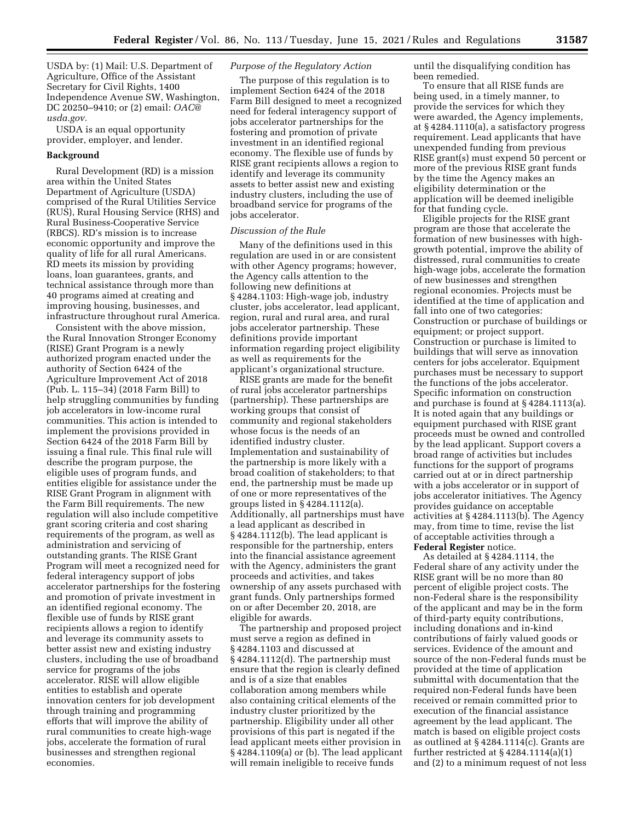USDA by: (1) Mail: U.S. Department of Agriculture, Office of the Assistant Secretary for Civil Rights, 1400 Independence Avenue SW, Washington, DC 20250–9410; or (2) email: *[OAC@](mailto:OAC@usda.gov) [usda.gov.](mailto:OAC@usda.gov)* 

USDA is an equal opportunity provider, employer, and lender.

# **Background**

Rural Development (RD) is a mission area within the United States Department of Agriculture (USDA) comprised of the Rural Utilities Service (RUS), Rural Housing Service (RHS) and Rural Business-Cooperative Service (RBCS). RD's mission is to increase economic opportunity and improve the quality of life for all rural Americans. RD meets its mission by providing loans, loan guarantees, grants, and technical assistance through more than 40 programs aimed at creating and improving housing, businesses, and infrastructure throughout rural America.

Consistent with the above mission, the Rural Innovation Stronger Economy (RISE) Grant Program is a newly authorized program enacted under the authority of Section 6424 of the Agriculture Improvement Act of 2018 (Pub. L. 115–34) (2018 Farm Bill) to help struggling communities by funding job accelerators in low-income rural communities. This action is intended to implement the provisions provided in Section 6424 of the 2018 Farm Bill by issuing a final rule. This final rule will describe the program purpose, the eligible uses of program funds, and entities eligible for assistance under the RISE Grant Program in alignment with the Farm Bill requirements. The new regulation will also include competitive grant scoring criteria and cost sharing requirements of the program, as well as administration and servicing of outstanding grants. The RISE Grant Program will meet a recognized need for federal interagency support of jobs accelerator partnerships for the fostering and promotion of private investment in an identified regional economy. The flexible use of funds by RISE grant recipients allows a region to identify and leverage its community assets to better assist new and existing industry clusters, including the use of broadband service for programs of the jobs accelerator. RISE will allow eligible entities to establish and operate innovation centers for job development through training and programming efforts that will improve the ability of rural communities to create high-wage jobs, accelerate the formation of rural businesses and strengthen regional economies.

#### *Purpose of the Regulatory Action*

The purpose of this regulation is to implement Section 6424 of the 2018 Farm Bill designed to meet a recognized need for federal interagency support of jobs accelerator partnerships for the fostering and promotion of private investment in an identified regional economy. The flexible use of funds by RISE grant recipients allows a region to identify and leverage its community assets to better assist new and existing industry clusters, including the use of broadband service for programs of the jobs accelerator.

#### *Discussion of the Rule*

Many of the definitions used in this regulation are used in or are consistent with other Agency programs; however, the Agency calls attention to the following new definitions at § 4284.1103: High-wage job, industry cluster, jobs accelerator, lead applicant, region, rural and rural area, and rural jobs accelerator partnership. These definitions provide important information regarding project eligibility as well as requirements for the applicant's organizational structure.

RISE grants are made for the benefit of rural jobs accelerator partnerships (partnership). These partnerships are working groups that consist of community and regional stakeholders whose focus is the needs of an identified industry cluster. Implementation and sustainability of the partnership is more likely with a broad coalition of stakeholders; to that end, the partnership must be made up of one or more representatives of the groups listed in § 4284.1112(a). Additionally, all partnerships must have a lead applicant as described in § 4284.1112(b). The lead applicant is responsible for the partnership, enters into the financial assistance agreement with the Agency, administers the grant proceeds and activities, and takes ownership of any assets purchased with grant funds. Only partnerships formed on or after December 20, 2018, are eligible for awards.

The partnership and proposed project must serve a region as defined in § 4284.1103 and discussed at § 4284.1112(d). The partnership must ensure that the region is clearly defined and is of a size that enables collaboration among members while also containing critical elements of the industry cluster prioritized by the partnership. Eligibility under all other provisions of this part is negated if the lead applicant meets either provision in § 4284.1109(a) or (b). The lead applicant will remain ineligible to receive funds

until the disqualifying condition has been remedied.

To ensure that all RISE funds are being used, in a timely manner, to provide the services for which they were awarded, the Agency implements, at § 4284.1110(a), a satisfactory progress requirement. Lead applicants that have unexpended funding from previous RISE grant(s) must expend 50 percent or more of the previous RISE grant funds by the time the Agency makes an eligibility determination or the application will be deemed ineligible for that funding cycle.

Eligible projects for the RISE grant program are those that accelerate the formation of new businesses with highgrowth potential, improve the ability of distressed, rural communities to create high-wage jobs, accelerate the formation of new businesses and strengthen regional economies. Projects must be identified at the time of application and fall into one of two categories: Construction or purchase of buildings or equipment; or project support. Construction or purchase is limited to buildings that will serve as innovation centers for jobs accelerator. Equipment purchases must be necessary to support the functions of the jobs accelerator. Specific information on construction and purchase is found at § 4284.1113(a). It is noted again that any buildings or equipment purchased with RISE grant proceeds must be owned and controlled by the lead applicant. Support covers a broad range of activities but includes functions for the support of programs carried out at or in direct partnership with a jobs accelerator or in support of jobs accelerator initiatives. The Agency provides guidance on acceptable activities at § 4284.1113(b). The Agency may, from time to time, revise the list of acceptable activities through a **Federal Register** notice.

As detailed at § 4284.1114, the Federal share of any activity under the RISE grant will be no more than 80 percent of eligible project costs. The non-Federal share is the responsibility of the applicant and may be in the form of third-party equity contributions, including donations and in-kind contributions of fairly valued goods or services. Evidence of the amount and source of the non-Federal funds must be provided at the time of application submittal with documentation that the required non-Federal funds have been received or remain committed prior to execution of the financial assistance agreement by the lead applicant. The match is based on eligible project costs as outlined at § 4284.1114(c). Grants are further restricted at  $\S$  4284.1114(a)(1) and (2) to a minimum request of not less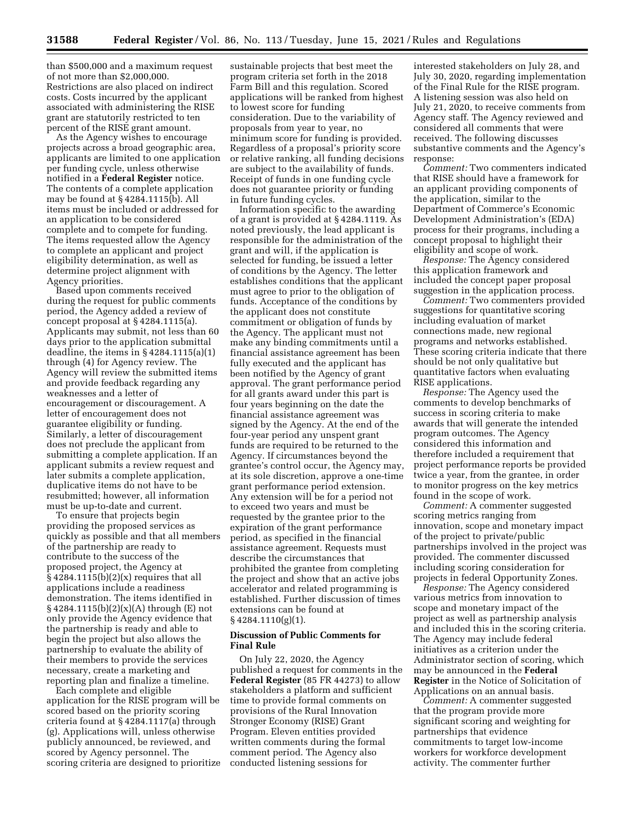than \$500,000 and a maximum request of not more than \$2,000,000. Restrictions are also placed on indirect costs. Costs incurred by the applicant associated with administering the RISE grant are statutorily restricted to ten percent of the RISE grant amount.

As the Agency wishes to encourage projects across a broad geographic area, applicants are limited to one application per funding cycle, unless otherwise notified in a **Federal Register** notice. The contents of a complete application may be found at § 4284.1115(b). All items must be included or addressed for an application to be considered complete and to compete for funding. The items requested allow the Agency to complete an applicant and project eligibility determination, as well as determine project alignment with Agency priorities.

Based upon comments received during the request for public comments period, the Agency added a review of concept proposal at § 4284.1115(a). Applicants may submit, not less than 60 days prior to the application submittal deadline, the items in § 4284.1115(a)(1) through (4) for Agency review. The Agency will review the submitted items and provide feedback regarding any weaknesses and a letter of encouragement or discouragement. A letter of encouragement does not guarantee eligibility or funding. Similarly, a letter of discouragement does not preclude the applicant from submitting a complete application. If an applicant submits a review request and later submits a complete application, duplicative items do not have to be resubmitted; however, all information must be up-to-date and current.

To ensure that projects begin providing the proposed services as quickly as possible and that all members of the partnership are ready to contribute to the success of the proposed project, the Agency at § 4284.1115(b)(2)(x) requires that all applications include a readiness demonstration. The items identified in § 4284.1115(b)(2)(x)(A) through (E) not only provide the Agency evidence that the partnership is ready and able to begin the project but also allows the partnership to evaluate the ability of their members to provide the services necessary, create a marketing and reporting plan and finalize a timeline.

Each complete and eligible application for the RISE program will be scored based on the priority scoring criteria found at § 4284.1117(a) through (g). Applications will, unless otherwise publicly announced, be reviewed, and scored by Agency personnel. The scoring criteria are designed to prioritize

sustainable projects that best meet the program criteria set forth in the 2018 Farm Bill and this regulation. Scored applications will be ranked from highest to lowest score for funding consideration. Due to the variability of proposals from year to year, no minimum score for funding is provided. Regardless of a proposal's priority score or relative ranking, all funding decisions are subject to the availability of funds. Receipt of funds in one funding cycle does not guarantee priority or funding in future funding cycles.

Information specific to the awarding of a grant is provided at § 4284.1119. As noted previously, the lead applicant is responsible for the administration of the grant and will, if the application is selected for funding, be issued a letter of conditions by the Agency. The letter establishes conditions that the applicant must agree to prior to the obligation of funds. Acceptance of the conditions by the applicant does not constitute commitment or obligation of funds by the Agency. The applicant must not make any binding commitments until a financial assistance agreement has been fully executed and the applicant has been notified by the Agency of grant approval. The grant performance period for all grants award under this part is four years beginning on the date the financial assistance agreement was signed by the Agency. At the end of the four-year period any unspent grant funds are required to be returned to the Agency. If circumstances beyond the grantee's control occur, the Agency may, at its sole discretion, approve a one-time grant performance period extension. Any extension will be for a period not to exceed two years and must be requested by the grantee prior to the expiration of the grant performance period, as specified in the financial assistance agreement. Requests must describe the circumstances that prohibited the grantee from completing the project and show that an active jobs accelerator and related programming is established. Further discussion of times extensions can be found at  $§$  4284.1110(g)(1).

# **Discussion of Public Comments for Final Rule**

On July 22, 2020, the Agency published a request for comments in the **Federal Register** (85 FR 44273) to allow stakeholders a platform and sufficient time to provide formal comments on provisions of the Rural Innovation Stronger Economy (RISE) Grant Program. Eleven entities provided written comments during the formal comment period. The Agency also conducted listening sessions for

interested stakeholders on July 28, and July 30, 2020, regarding implementation of the Final Rule for the RISE program. A listening session was also held on July 21, 2020, to receive comments from Agency staff. The Agency reviewed and considered all comments that were received. The following discusses substantive comments and the Agency's response:

*Comment:* Two commenters indicated that RISE should have a framework for an applicant providing components of the application, similar to the Department of Commerce's Economic Development Administration's (EDA) process for their programs, including a concept proposal to highlight their eligibility and scope of work.

*Response:* The Agency considered this application framework and included the concept paper proposal suggestion in the application process.

*Comment:* Two commenters provided suggestions for quantitative scoring including evaluation of market connections made, new regional programs and networks established. These scoring criteria indicate that there should be not only qualitative but quantitative factors when evaluating RISE applications.

*Response:* The Agency used the comments to develop benchmarks of success in scoring criteria to make awards that will generate the intended program outcomes. The Agency considered this information and therefore included a requirement that project performance reports be provided twice a year, from the grantee, in order to monitor progress on the key metrics found in the scope of work.

*Comment:* A commenter suggested scoring metrics ranging from innovation, scope and monetary impact of the project to private/public partnerships involved in the project was provided. The commenter discussed including scoring consideration for projects in federal Opportunity Zones.

*Response:* The Agency considered various metrics from innovation to scope and monetary impact of the project as well as partnership analysis and included this in the scoring criteria. The Agency may include federal initiatives as a criterion under the Administrator section of scoring, which may be announced in the **Federal Register** in the Notice of Solicitation of Applications on an annual basis.

*Comment:* A commenter suggested that the program provide more significant scoring and weighting for partnerships that evidence commitments to target low-income workers for workforce development activity. The commenter further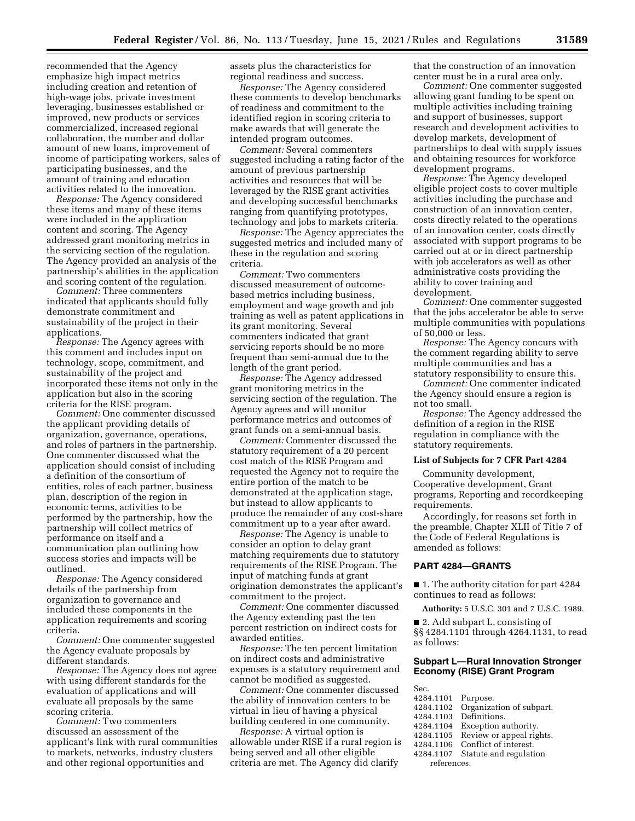recommended that the Agency emphasize high impact metrics including creation and retention of high-wage jobs, private investment leveraging, businesses established or improved, new products or services commercialized, increased regional collaboration, the number and dollar amount of new loans, improvement of income of participating workers, sales of participating businesses, and the amount of training and education activities related to the innovation.

*Response:* The Agency considered these items and many of these items were included in the application content and scoring. The Agency addressed grant monitoring metrics in the servicing section of the regulation. The Agency provided an analysis of the partnership's abilities in the application and scoring content of the regulation.

*Comment:* Three commenters indicated that applicants should fully demonstrate commitment and sustainability of the project in their applications.

*Response:* The Agency agrees with this comment and includes input on technology, scope, commitment, and sustainability of the project and incorporated these items not only in the application but also in the scoring criteria for the RISE program.

*Comment:* One commenter discussed the applicant providing details of organization, governance, operations, and roles of partners in the partnership. One commenter discussed what the application should consist of including a definition of the consortium of entities, roles of each partner, business plan, description of the region in economic terms, activities to be performed by the partnership, how the partnership will collect metrics of performance on itself and a communication plan outlining how success stories and impacts will be outlined.

*Response:* The Agency considered details of the partnership from organization to governance and included these components in the application requirements and scoring criteria.

*Comment:* One commenter suggested the Agency evaluate proposals by different standards.

*Response:* The Agency does not agree with using different standards for the evaluation of applications and will evaluate all proposals by the same scoring criteria.

*Comment:* Two commenters discussed an assessment of the applicant's link with rural communities to markets, networks, industry clusters and other regional opportunities and

assets plus the characteristics for regional readiness and success.

*Response:* The Agency considered these comments to develop benchmarks of readiness and commitment to the identified region in scoring criteria to make awards that will generate the intended program outcomes.

*Comment:* Several commenters suggested including a rating factor of the amount of previous partnership activities and resources that will be leveraged by the RISE grant activities and developing successful benchmarks ranging from quantifying prototypes, technology and jobs to markets criteria.

*Response:* The Agency appreciates the suggested metrics and included many of these in the regulation and scoring criteria.

*Comment:* Two commenters discussed measurement of outcomebased metrics including business, employment and wage growth and job training as well as patent applications in its grant monitoring. Several commenters indicated that grant servicing reports should be no more frequent than semi-annual due to the length of the grant period.

*Response:* The Agency addressed grant monitoring metrics in the servicing section of the regulation. The Agency agrees and will monitor performance metrics and outcomes of grant funds on a semi-annual basis.

*Comment:* Commenter discussed the statutory requirement of a 20 percent cost match of the RISE Program and requested the Agency not to require the entire portion of the match to be demonstrated at the application stage, but instead to allow applicants to produce the remainder of any cost-share commitment up to a year after award.

*Response:* The Agency is unable to consider an option to delay grant matching requirements due to statutory requirements of the RISE Program. The input of matching funds at grant origination demonstrates the applicant's commitment to the project.

*Comment:* One commenter discussed the Agency extending past the ten percent restriction on indirect costs for awarded entities.

*Response:* The ten percent limitation on indirect costs and administrative expenses is a statutory requirement and cannot be modified as suggested.

*Comment:* One commenter discussed the ability of innovation centers to be virtual in lieu of having a physical building centered in one community.

*Response:* A virtual option is allowable under RISE if a rural region is being served and all other eligible criteria are met. The Agency did clarify

that the construction of an innovation center must be in a rural area only.

*Comment:* One commenter suggested allowing grant funding to be spent on multiple activities including training and support of businesses, support research and development activities to develop markets, development of partnerships to deal with supply issues and obtaining resources for workforce development programs.

*Response:* The Agency developed eligible project costs to cover multiple activities including the purchase and construction of an innovation center, costs directly related to the operations of an innovation center, costs directly associated with support programs to be carried out at or in direct partnership with job accelerators as well as other administrative costs providing the ability to cover training and development.

*Comment:* One commenter suggested that the jobs accelerator be able to serve multiple communities with populations of 50,000 or less.

*Response:* The Agency concurs with the comment regarding ability to serve multiple communities and has a statutory responsibility to ensure this.

*Comment:* One commenter indicated the Agency should ensure a region is not too small.

*Response:* The Agency addressed the definition of a region in the RISE regulation in compliance with the statutory requirements.

# **List of Subjects for 7 CFR Part 4284**

Community development, Cooperative development, Grant programs, Reporting and recordkeeping requirements.

Accordingly, for reasons set forth in the preamble, Chapter XLII of Title 7 of the Code of Federal Regulations is amended as follows:

#### **PART 4284—GRANTS**

■ 1. The authority citation for part 4284 continues to read as follows:

**Authority:** 5 U.S.C. 301 and 7 U.S.C. 1989.

■ 2. Add subpart L, consisting of §§ 4284.1101 through 4264.1131, to read as follows:

# **Subpart L—Rural Innovation Stronger Economy (RISE) Grant Program**

- Sec.
- 4284.1101 Purpose.<br>4284.1102 Organiza
- Organization of subpart.<br>Definitions.
- 4284.1103<br>4284.1104
- 4284.1104 Exception authority.<br>4284.1105 Review or appeal rig
- 4284.1105 Review or appeal rights.<br>4284.1106 Conflict of interest.
- Conflict of interest.
- 4284.1107 Statute and regulation references.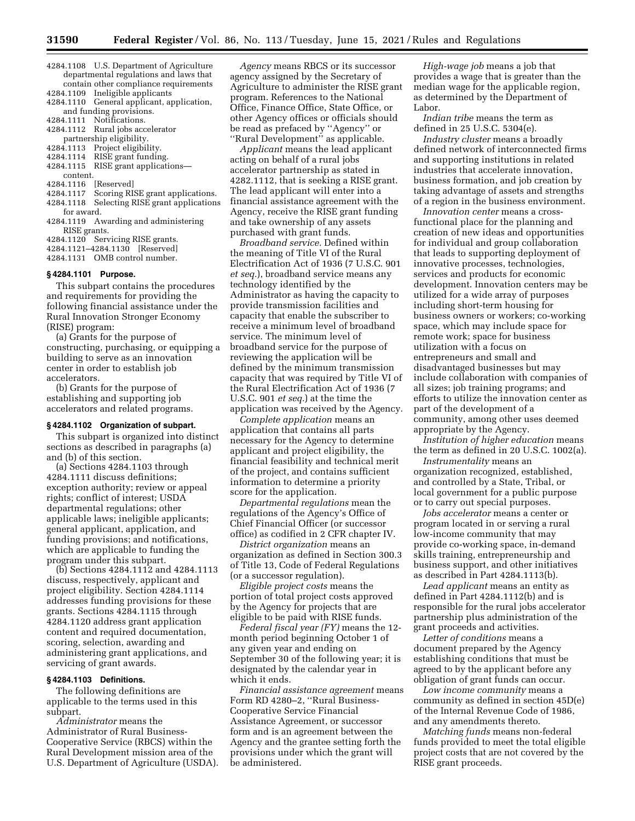- 4284.1108 U.S. Department of Agriculture departmental regulations and laws that contain other compliance requirements
- 4284.1109 Ineligible applicants 4284.1110 General applicant, application,
- and funding provisions.<br>4284.1111 Notifications.
- 4284.1111 Notifications.<br>4284.1112 Rural jobs acc Rural jobs accelerator
- partnership eligibility.<br>4284.1113 Project eligibil
- Project eligibility.
- 4284.1114 RISE grant funding.<br>4284.1115 RISE grant applicati
- RISE grant applications—
- content.
- 4284.1116 [Reserved]
- 4284.1117 Scoring RISE grant applications.
- Selecting RISE grant applications for award.
- 4284.1119 Awarding and administering RISE grants.
- 4284.1120 Servicing RISE grants.
- 4284.1121–4284.1130 [Reserved]
- 4284.1131 OMB control number.

#### **§ 4284.1101 Purpose.**

This subpart contains the procedures and requirements for providing the following financial assistance under the Rural Innovation Stronger Economy (RISE) program:

(a) Grants for the purpose of constructing, purchasing, or equipping a building to serve as an innovation center in order to establish job accelerators.

(b) Grants for the purpose of establishing and supporting job accelerators and related programs.

#### **§ 4284.1102 Organization of subpart.**

This subpart is organized into distinct sections as described in paragraphs (a) and (b) of this section.

(a) Sections 4284.1103 through 4284.1111 discuss definitions; exception authority; review or appeal rights; conflict of interest; USDA departmental regulations; other applicable laws; ineligible applicants; general applicant, application, and funding provisions; and notifications, which are applicable to funding the program under this subpart.

(b) Sections 4284.1112 and 4284.1113 discuss, respectively, applicant and project eligibility. Section 4284.1114 addresses funding provisions for these grants. Sections 4284.1115 through 4284.1120 address grant application content and required documentation, scoring, selection, awarding and administering grant applications, and servicing of grant awards.

#### **§ 4284.1103 Definitions.**

The following definitions are applicable to the terms used in this subpart.

*Administrator* means the Administrator of Rural Business-Cooperative Service (RBCS) within the Rural Development mission area of the U.S. Department of Agriculture (USDA).

*Agency* means RBCS or its successor agency assigned by the Secretary of Agriculture to administer the RISE grant program. References to the National Office, Finance Office, State Office, or other Agency offices or officials should be read as prefaced by ''Agency'' or ''Rural Development'' as applicable.

*Applicant* means the lead applicant acting on behalf of a rural jobs accelerator partnership as stated in 4282.1112, that is seeking a RISE grant. The lead applicant will enter into a financial assistance agreement with the Agency, receive the RISE grant funding and take ownership of any assets purchased with grant funds.

*Broadband service.* Defined within the meaning of Title VI of the Rural Electrification Act of 1936 (7 U.S.C. 901 *et seq.*), broadband service means any technology identified by the Administrator as having the capacity to provide transmission facilities and capacity that enable the subscriber to receive a minimum level of broadband service. The minimum level of broadband service for the purpose of reviewing the application will be defined by the minimum transmission capacity that was required by Title VI of the Rural Electrification Act of 1936 (7 U.S.C. 901 *et seq.*) at the time the application was received by the Agency.

*Complete application* means an application that contains all parts necessary for the Agency to determine applicant and project eligibility, the financial feasibility and technical merit of the project, and contains sufficient information to determine a priority score for the application.

*Departmental regulations* mean the regulations of the Agency's Office of Chief Financial Officer (or successor office) as codified in 2 CFR chapter IV.

*District organization* means an organization as defined in Section 300.3 of Title 13, Code of Federal Regulations (or a successor regulation).

*Eligible project costs* means the portion of total project costs approved by the Agency for projects that are eligible to be paid with RISE funds.

*Federal fiscal year (FY)* means the 12 month period beginning October 1 of any given year and ending on September 30 of the following year; it is designated by the calendar year in which it ends.

*Financial assistance agreement* means Form RD 4280–2, ''Rural Business-Cooperative Service Financial Assistance Agreement, or successor form and is an agreement between the Agency and the grantee setting forth the provisions under which the grant will be administered.

*High-wage job* means a job that provides a wage that is greater than the median wage for the applicable region, as determined by the Department of Labor.

*Indian tribe* means the term as defined in 25 U.S.C. 5304(e).

*Industry cluster* means a broadly defined network of interconnected firms and supporting institutions in related industries that accelerate innovation, business formation, and job creation by taking advantage of assets and strengths of a region in the business environment.

*Innovation center* means a crossfunctional place for the planning and creation of new ideas and opportunities for individual and group collaboration that leads to supporting deployment of innovative processes, technologies, services and products for economic development. Innovation centers may be utilized for a wide array of purposes including short-term housing for business owners or workers; co-working space, which may include space for remote work; space for business utilization with a focus on entrepreneurs and small and disadvantaged businesses but may include collaboration with companies of all sizes; job training programs; and efforts to utilize the innovation center as part of the development of a community, among other uses deemed appropriate by the Agency.

*Institution of higher education* means the term as defined in 20 U.S.C. 1002(a).

*Instrumentality* means an organization recognized, established, and controlled by a State, Tribal, or local government for a public purpose or to carry out special purposes.

*Jobs accelerator* means a center or program located in or serving a rural low-income community that may provide co-working space, in-demand skills training, entrepreneurship and business support, and other initiatives as described in Part 4284.1113(b).

*Lead applicant* means an entity as defined in Part 4284.1112(b) and is responsible for the rural jobs accelerator partnership plus administration of the grant proceeds and activities.

*Letter of conditions* means a document prepared by the Agency establishing conditions that must be agreed to by the applicant before any obligation of grant funds can occur.

*Low income community* means a community as defined in section 45D(e) of the Internal Revenue Code of 1986, and any amendments thereto.

*Matching funds* means non-federal funds provided to meet the total eligible project costs that are not covered by the RISE grant proceeds.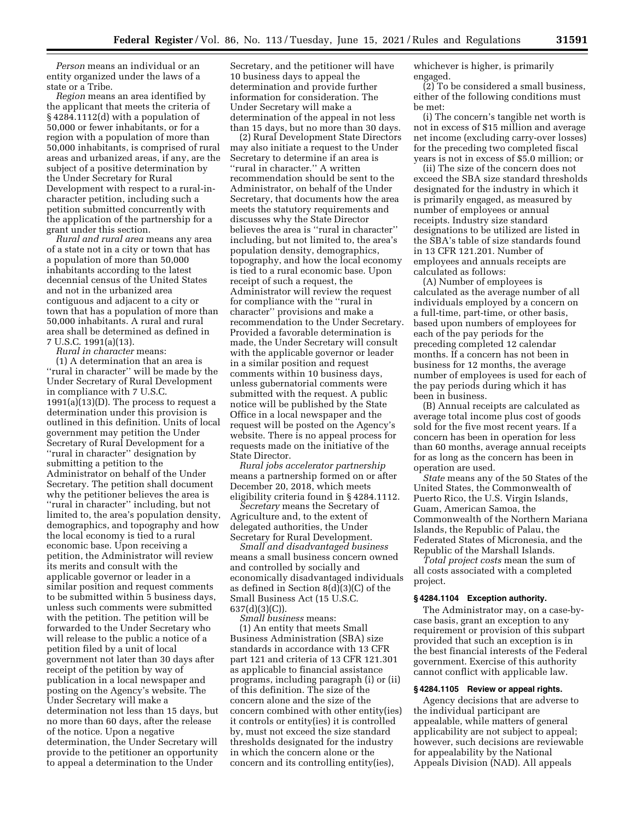*Person* means an individual or an entity organized under the laws of a state or a Tribe.

*Region* means an area identified by the applicant that meets the criteria of § 4284.1112(d) with a population of 50,000 or fewer inhabitants, or for a region with a population of more than 50,000 inhabitants, is comprised of rural areas and urbanized areas, if any, are the subject of a positive determination by the Under Secretary for Rural Development with respect to a rural-incharacter petition, including such a petition submitted concurrently with the application of the partnership for a grant under this section.

*Rural and rural area* means any area of a state not in a city or town that has a population of more than 50,000 inhabitants according to the latest decennial census of the United States and not in the urbanized area contiguous and adjacent to a city or town that has a population of more than 50,000 inhabitants. A rural and rural area shall be determined as defined in 7 U.S.C. 1991(a)(13).

*Rural in character* means:

(1) A determination that an area is ''rural in character'' will be made by the Under Secretary of Rural Development in compliance with 7 U.S.C.  $1991(a)(13)(D)$ . The process to request a determination under this provision is outlined in this definition. Units of local government may petition the Under Secretary of Rural Development for a "rural in character" designation by submitting a petition to the Administrator on behalf of the Under Secretary. The petition shall document why the petitioner believes the area is ''rural in character'' including, but not limited to, the area's population density, demographics, and topography and how the local economy is tied to a rural economic base. Upon receiving a petition, the Administrator will review its merits and consult with the applicable governor or leader in a similar position and request comments to be submitted within 5 business days, unless such comments were submitted with the petition. The petition will be forwarded to the Under Secretary who will release to the public a notice of a petition filed by a unit of local government not later than 30 days after receipt of the petition by way of publication in a local newspaper and posting on the Agency's website. The Under Secretary will make a determination not less than 15 days, but no more than 60 days, after the release of the notice. Upon a negative determination, the Under Secretary will provide to the petitioner an opportunity to appeal a determination to the Under

Secretary, and the petitioner will have 10 business days to appeal the determination and provide further information for consideration. The Under Secretary will make a determination of the appeal in not less than 15 days, but no more than 30 days.

(2) Rural Development State Directors may also initiate a request to the Under Secretary to determine if an area is ''rural in character.'' A written recommendation should be sent to the Administrator, on behalf of the Under Secretary, that documents how the area meets the statutory requirements and discusses why the State Director believes the area is ''rural in character'' including, but not limited to, the area's population density, demographics, topography, and how the local economy is tied to a rural economic base. Upon receipt of such a request, the Administrator will review the request for compliance with the ''rural in character'' provisions and make a recommendation to the Under Secretary. Provided a favorable determination is made, the Under Secretary will consult with the applicable governor or leader in a similar position and request comments within 10 business days, unless gubernatorial comments were submitted with the request. A public notice will be published by the State Office in a local newspaper and the request will be posted on the Agency's website. There is no appeal process for requests made on the initiative of the State Director.

*Rural jobs accelerator partnership*  means a partnership formed on or after December 20, 2018, which meets eligibility criteria found in § 4284.1112.

*Secretary* means the Secretary of Agriculture and, to the extent of delegated authorities, the Under Secretary for Rural Development.

*Small and disadvantaged business*  means a small business concern owned and controlled by socially and economically disadvantaged individuals as defined in Section 8(d)(3)(C) of the Small Business Act (15 U.S.C. 637(d)(3)(C)).

*Small business* means: (1) An entity that meets Small Business Administration (SBA) size standards in accordance with 13 CFR part 121 and criteria of 13 CFR 121.301 as applicable to financial assistance programs, including paragraph (i) or (ii) of this definition. The size of the concern alone and the size of the concern combined with other entity(ies) it controls or entity(ies) it is controlled by, must not exceed the size standard thresholds designated for the industry in which the concern alone or the concern and its controlling entity(ies),

whichever is higher, is primarily engaged.

(2) To be considered a small business, either of the following conditions must be met:

(i) The concern's tangible net worth is not in excess of \$15 million and average net income (excluding carry-over losses) for the preceding two completed fiscal years is not in excess of \$5.0 million; or

(ii) The size of the concern does not exceed the SBA size standard thresholds designated for the industry in which it is primarily engaged, as measured by number of employees or annual receipts. Industry size standard designations to be utilized are listed in the SBA's table of size standards found in 13 CFR 121.201. Number of employees and annuals receipts are calculated as follows:

(A) Number of employees is calculated as the average number of all individuals employed by a concern on a full-time, part-time, or other basis, based upon numbers of employees for each of the pay periods for the preceding completed 12 calendar months. If a concern has not been in business for 12 months, the average number of employees is used for each of the pay periods during which it has been in business.

(B) Annual receipts are calculated as average total income plus cost of goods sold for the five most recent years. If a concern has been in operation for less than 60 months, average annual receipts for as long as the concern has been in operation are used.

*State* means any of the 50 States of the United States, the Commonwealth of Puerto Rico, the U.S. Virgin Islands, Guam, American Samoa, the Commonwealth of the Northern Mariana Islands, the Republic of Palau, the Federated States of Micronesia, and the Republic of the Marshall Islands.

*Total project costs* mean the sum of all costs associated with a completed project.

#### **§ 4284.1104 Exception authority.**

The Administrator may, on a case-bycase basis, grant an exception to any requirement or provision of this subpart provided that such an exception is in the best financial interests of the Federal government. Exercise of this authority cannot conflict with applicable law.

# **§ 4284.1105 Review or appeal rights.**

Agency decisions that are adverse to the individual participant are appealable, while matters of general applicability are not subject to appeal; however, such decisions are reviewable for appealability by the National Appeals Division (NAD). All appeals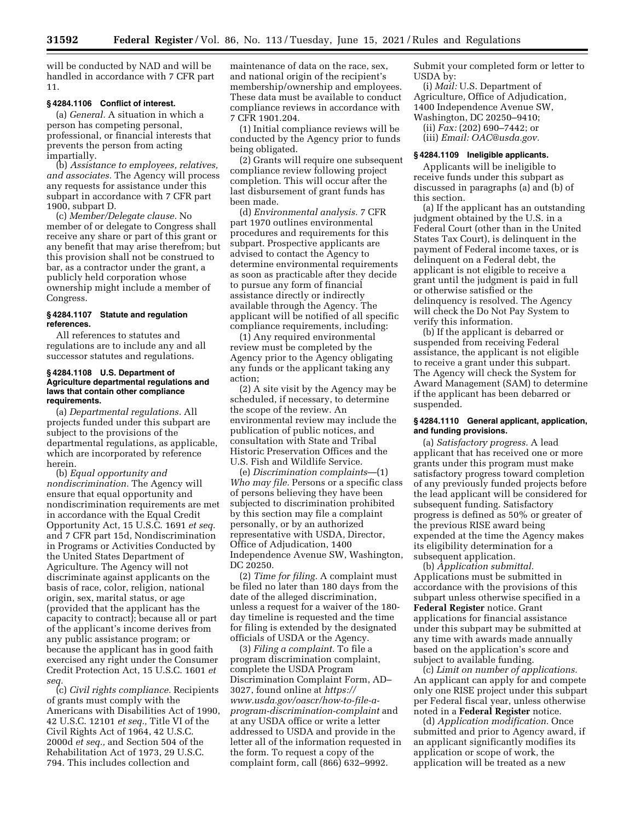will be conducted by NAD and will be handled in accordance with 7 CFR part 11.

# **§ 4284.1106 Conflict of interest.**

(a) *General.* A situation in which a person has competing personal, professional, or financial interests that prevents the person from acting impartially.

(b) *Assistance to employees, relatives, and associates.* The Agency will process any requests for assistance under this subpart in accordance with 7 CFR part 1900, subpart D.

(c) *Member/Delegate clause.* No member of or delegate to Congress shall receive any share or part of this grant or any benefit that may arise therefrom; but this provision shall not be construed to bar, as a contractor under the grant, a publicly held corporation whose ownership might include a member of Congress.

# **§ 4284.1107 Statute and regulation references.**

All references to statutes and regulations are to include any and all successor statutes and regulations.

#### **§ 4284.1108 U.S. Department of Agriculture departmental regulations and laws that contain other compliance requirements.**

(a) *Departmental regulations.* All projects funded under this subpart are subject to the provisions of the departmental regulations, as applicable, which are incorporated by reference herein.

(b) *Equal opportunity and nondiscrimination.* The Agency will ensure that equal opportunity and nondiscrimination requirements are met in accordance with the Equal Credit Opportunity Act, 15 U.S.C. 1691 *et seq.*  and 7 CFR part 15d, Nondiscrimination in Programs or Activities Conducted by the United States Department of Agriculture. The Agency will not discriminate against applicants on the basis of race, color, religion, national origin, sex, marital status, or age (provided that the applicant has the capacity to contract); because all or part of the applicant's income derives from any public assistance program; or because the applicant has in good faith exercised any right under the Consumer Credit Protection Act, 15 U.S.C. 1601 *et seq.* 

(c) *Civil rights compliance.* Recipients of grants must comply with the Americans with Disabilities Act of 1990, 42 U.S.C. 12101 *et seq.,* Title VI of the Civil Rights Act of 1964, 42 U.S.C. 2000d *et seq.,* and Section 504 of the Rehabilitation Act of 1973, 29 U.S.C. 794. This includes collection and

maintenance of data on the race, sex, and national origin of the recipient's membership/ownership and employees. These data must be available to conduct compliance reviews in accordance with 7 CFR 1901.204.

(1) Initial compliance reviews will be conducted by the Agency prior to funds being obligated.

(2) Grants will require one subsequent compliance review following project completion. This will occur after the last disbursement of grant funds has been made.

(d) *Environmental analysis.* 7 CFR part 1970 outlines environmental procedures and requirements for this subpart. Prospective applicants are advised to contact the Agency to determine environmental requirements as soon as practicable after they decide to pursue any form of financial assistance directly or indirectly available through the Agency. The applicant will be notified of all specific compliance requirements, including:

(1) Any required environmental review must be completed by the Agency prior to the Agency obligating any funds or the applicant taking any action;

(2) A site visit by the Agency may be scheduled, if necessary, to determine the scope of the review. An environmental review may include the publication of public notices, and consultation with State and Tribal Historic Preservation Offices and the U.S. Fish and Wildlife Service.

(e) *Discrimination complaints*—(1) *Who may file.* Persons or a specific class of persons believing they have been subjected to discrimination prohibited by this section may file a complaint personally, or by an authorized representative with USDA, Director, Office of Adjudication, 1400 Independence Avenue SW, Washington, DC 20250.

(2) *Time for filing.* A complaint must be filed no later than 180 days from the date of the alleged discrimination, unless a request for a waiver of the 180 day timeline is requested and the time for filing is extended by the designated officials of USDA or the Agency.

(3) *Filing a complaint.* To file a program discrimination complaint, complete the USDA Program Discrimination Complaint Form, AD– 3027, found online at *[https://](https://www.usda.gov/oascr/how-to-file-a-program-discrimination-complaint) [www.usda.gov/oascr/how-to-file-a](https://www.usda.gov/oascr/how-to-file-a-program-discrimination-complaint)[program-discrimination-complaint](https://www.usda.gov/oascr/how-to-file-a-program-discrimination-complaint)* and at any USDA office or write a letter addressed to USDA and provide in the letter all of the information requested in the form. To request a copy of the complaint form, call (866) 632–9992.

Submit your completed form or letter to USDA by:

(i) *Mail:* U.S. Department of Agriculture, Office of Adjudication, 1400 Independence Avenue SW, Washington, DC 20250–9410;

(ii) *Fax:* (202) 690–7442; or

(iii) *Email: [OAC@usda.gov.](mailto:OAC@usda.gov)* 

#### **§ 4284.1109 Ineligible applicants.**

Applicants will be ineligible to receive funds under this subpart as discussed in paragraphs (a) and (b) of this section.

(a) If the applicant has an outstanding judgment obtained by the U.S. in a Federal Court (other than in the United States Tax Court), is delinquent in the payment of Federal income taxes, or is delinquent on a Federal debt, the applicant is not eligible to receive a grant until the judgment is paid in full or otherwise satisfied or the delinquency is resolved. The Agency will check the Do Not Pay System to verify this information.

(b) If the applicant is debarred or suspended from receiving Federal assistance, the applicant is not eligible to receive a grant under this subpart. The Agency will check the System for Award Management (SAM) to determine if the applicant has been debarred or suspended.

# **§ 4284.1110 General applicant, application, and funding provisions.**

(a) *Satisfactory progress.* A lead applicant that has received one or more grants under this program must make satisfactory progress toward completion of any previously funded projects before the lead applicant will be considered for subsequent funding. Satisfactory progress is defined as 50% or greater of the previous RISE award being expended at the time the Agency makes its eligibility determination for a subsequent application.

(b) *Application submittal.*  Applications must be submitted in accordance with the provisions of this subpart unless otherwise specified in a **Federal Register** notice. Grant applications for financial assistance under this subpart may be submitted at any time with awards made annually based on the application's score and subject to available funding.

(c) *Limit on number of applications.*  An applicant can apply for and compete only one RISE project under this subpart per Federal fiscal year, unless otherwise noted in a **Federal Register** notice.

(d) *Application modification.* Once submitted and prior to Agency award, if an applicant significantly modifies its application or scope of work, the application will be treated as a new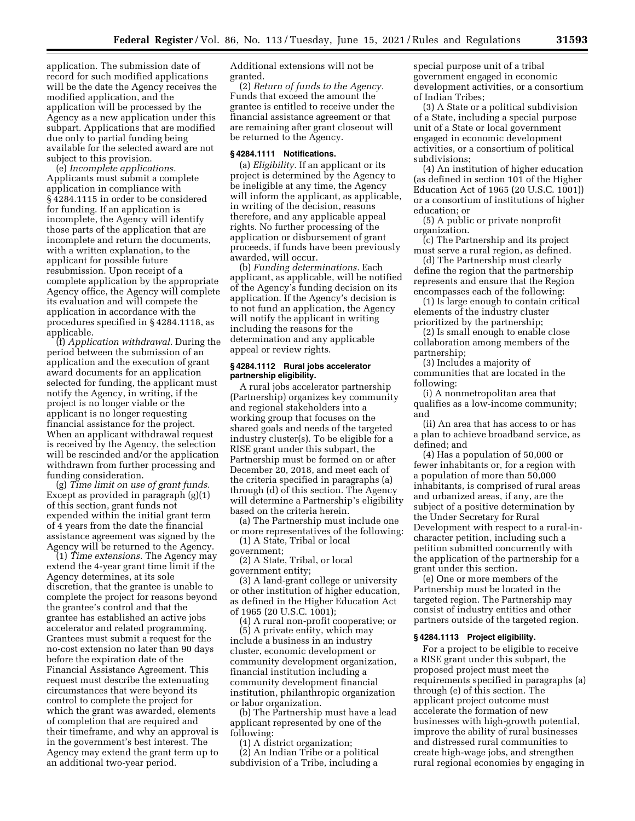application. The submission date of record for such modified applications will be the date the Agency receives the modified application, and the application will be processed by the Agency as a new application under this subpart. Applications that are modified due only to partial funding being available for the selected award are not subject to this provision.

(e) *Incomplete applications.*  Applicants must submit a complete application in compliance with § 4284.1115 in order to be considered for funding. If an application is incomplete, the Agency will identify those parts of the application that are incomplete and return the documents, with a written explanation, to the applicant for possible future resubmission. Upon receipt of a complete application by the appropriate Agency office, the Agency will complete its evaluation and will compete the application in accordance with the procedures specified in § 4284.1118, as applicable.

(f) *Application withdrawal.* During the period between the submission of an application and the execution of grant award documents for an application selected for funding, the applicant must notify the Agency, in writing, if the project is no longer viable or the applicant is no longer requesting financial assistance for the project. When an applicant withdrawal request is received by the Agency, the selection will be rescinded and/or the application withdrawn from further processing and funding consideration.

(g) *Time limit on use of grant funds.*  Except as provided in paragraph (g)(1) of this section, grant funds not expended within the initial grant term of 4 years from the date the financial assistance agreement was signed by the Agency will be returned to the Agency.

(1) *Time extensions.* The Agency may extend the 4-year grant time limit if the Agency determines, at its sole discretion, that the grantee is unable to complete the project for reasons beyond the grantee's control and that the grantee has established an active jobs accelerator and related programming. Grantees must submit a request for the no-cost extension no later than 90 days before the expiration date of the Financial Assistance Agreement. This request must describe the extenuating circumstances that were beyond its control to complete the project for which the grant was awarded, elements of completion that are required and their timeframe, and why an approval is in the government's best interest. The Agency may extend the grant term up to an additional two-year period.

Additional extensions will not be granted.

(2) *Return of funds to the Agency.*  Funds that exceed the amount the grantee is entitled to receive under the financial assistance agreement or that are remaining after grant closeout will be returned to the Agency.

#### **§ 4284.1111 Notifications.**

(a) *Eligibility.* If an applicant or its project is determined by the Agency to be ineligible at any time, the Agency will inform the applicant, as applicable, in writing of the decision, reasons therefore, and any applicable appeal rights. No further processing of the application or disbursement of grant proceeds, if funds have been previously awarded, will occur.

(b) *Funding determinations.* Each applicant, as applicable, will be notified of the Agency's funding decision on its application. If the Agency's decision is to not fund an application, the Agency will notify the applicant in writing including the reasons for the determination and any applicable appeal or review rights.

### **§ 4284.1112 Rural jobs accelerator partnership eligibility.**

A rural jobs accelerator partnership (Partnership) organizes key community and regional stakeholders into a working group that focuses on the shared goals and needs of the targeted industry cluster(s). To be eligible for a RISE grant under this subpart, the Partnership must be formed on or after December 20, 2018, and meet each of the criteria specified in paragraphs (a) through (d) of this section. The Agency will determine a Partnership's eligibility based on the criteria herein.

(a) The Partnership must include one or more representatives of the following:

(1) A State, Tribal or local government;

(2) A State, Tribal, or local government entity;

(3) A land-grant college or university or other institution of higher education, as defined in the Higher Education Act of 1965 (20 U.S.C. 1001);

(4) A rural non-profit cooperative; or (5) A private entity, which may include a business in an industry cluster, economic development or community development organization, financial institution including a community development financial institution, philanthropic organization or labor organization.

(b) The Partnership must have a lead applicant represented by one of the following:

(1) A district organization;

(2) An Indian Tribe or a political subdivision of a Tribe, including a

special purpose unit of a tribal government engaged in economic development activities, or a consortium of Indian Tribes;

(3) A State or a political subdivision of a State, including a special purpose unit of a State or local government engaged in economic development activities, or a consortium of political subdivisions;

(4) An institution of higher education (as defined in section 101 of the Higher Education Act of 1965 (20 U.S.C. 1001)) or a consortium of institutions of higher education; or

(5) A public or private nonprofit organization.

(c) The Partnership and its project must serve a rural region, as defined.

(d) The Partnership must clearly define the region that the partnership represents and ensure that the Region encompasses each of the following:

(1) Is large enough to contain critical elements of the industry cluster prioritized by the partnership;

(2) Is small enough to enable close collaboration among members of the partnership;

(3) Includes a majority of communities that are located in the following:

(i) A nonmetropolitan area that qualifies as a low-income community; and

(ii) An area that has access to or has a plan to achieve broadband service, as defined; and

(4) Has a population of 50,000 or fewer inhabitants or, for a region with a population of more than 50,000 inhabitants, is comprised of rural areas and urbanized areas, if any, are the subject of a positive determination by the Under Secretary for Rural Development with respect to a rural-incharacter petition, including such a petition submitted concurrently with the application of the partnership for a grant under this section.

(e) One or more members of the Partnership must be located in the targeted region. The Partnership may consist of industry entities and other partners outside of the targeted region.

#### **§ 4284.1113 Project eligibility.**

For a project to be eligible to receive a RISE grant under this subpart, the proposed project must meet the requirements specified in paragraphs (a) through (e) of this section. The applicant project outcome must accelerate the formation of new businesses with high-growth potential, improve the ability of rural businesses and distressed rural communities to create high-wage jobs, and strengthen rural regional economies by engaging in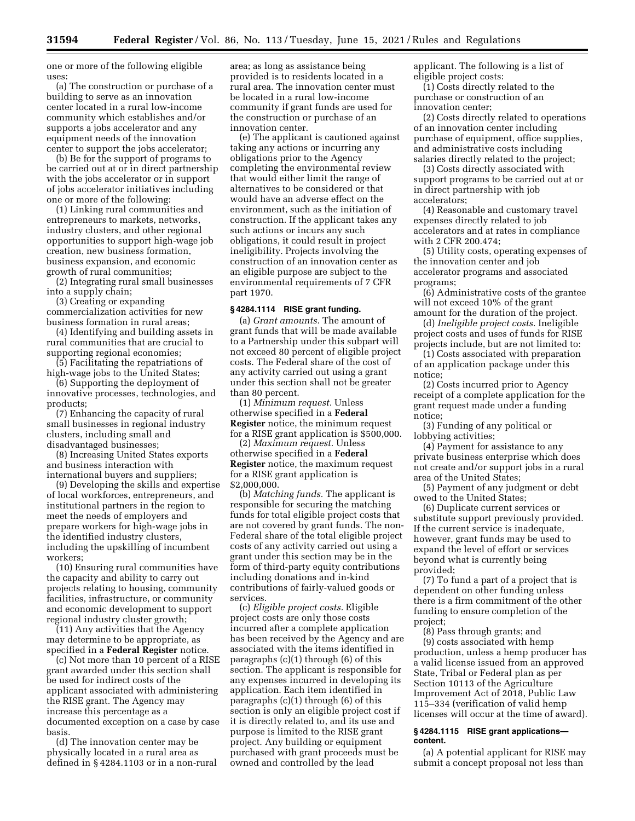one or more of the following eligible uses:

(a) The construction or purchase of a building to serve as an innovation center located in a rural low-income community which establishes and/or supports a jobs accelerator and any equipment needs of the innovation center to support the jobs accelerator;

(b) Be for the support of programs to be carried out at or in direct partnership with the jobs accelerator or in support of jobs accelerator initiatives including one or more of the following:

(1) Linking rural communities and entrepreneurs to markets, networks, industry clusters, and other regional opportunities to support high-wage job creation, new business formation, business expansion, and economic growth of rural communities;

(2) Integrating rural small businesses into a supply chain;

(3) Creating or expanding commercialization activities for new business formation in rural areas;

(4) Identifying and building assets in rural communities that are crucial to supporting regional economies;

(5) Facilitating the repatriations of high-wage jobs to the United States;

(6) Supporting the deployment of innovative processes, technologies, and products;

(7) Enhancing the capacity of rural small businesses in regional industry clusters, including small and disadvantaged businesses;

(8) Increasing United States exports and business interaction with international buyers and suppliers;

(9) Developing the skills and expertise of local workforces, entrepreneurs, and institutional partners in the region to meet the needs of employers and prepare workers for high-wage jobs in the identified industry clusters, including the upskilling of incumbent workers;

(10) Ensuring rural communities have the capacity and ability to carry out projects relating to housing, community facilities, infrastructure, or community and economic development to support regional industry cluster growth;

(11) Any activities that the Agency may determine to be appropriate, as specified in a **Federal Register** notice.

(c) Not more than 10 percent of a RISE grant awarded under this section shall be used for indirect costs of the applicant associated with administering the RISE grant. The Agency may increase this percentage as a documented exception on a case by case basis.

(d) The innovation center may be physically located in a rural area as defined in § 4284.1103 or in a non-rural

area; as long as assistance being provided is to residents located in a rural area. The innovation center must be located in a rural low-income community if grant funds are used for the construction or purchase of an innovation center.

(e) The applicant is cautioned against taking any actions or incurring any obligations prior to the Agency completing the environmental review that would either limit the range of alternatives to be considered or that would have an adverse effect on the environment, such as the initiation of construction. If the applicant takes any such actions or incurs any such obligations, it could result in project ineligibility. Projects involving the construction of an innovation center as an eligible purpose are subject to the environmental requirements of 7 CFR part 1970.

### **§ 4284.1114 RISE grant funding.**

(a) *Grant amounts.* The amount of grant funds that will be made available to a Partnership under this subpart will not exceed 80 percent of eligible project costs. The Federal share of the cost of any activity carried out using a grant under this section shall not be greater than 80 percent.

(1) *Minimum request.* Unless otherwise specified in a **Federal Register** notice, the minimum request for a RISE grant application is \$500,000.

(2) *Maximum request.* Unless otherwise specified in a **Federal Register** notice, the maximum request for a RISE grant application is \$2,000,000.

(b) *Matching funds.* The applicant is responsible for securing the matching funds for total eligible project costs that are not covered by grant funds. The non-Federal share of the total eligible project costs of any activity carried out using a grant under this section may be in the form of third-party equity contributions including donations and in-kind contributions of fairly-valued goods or services.

(c) *Eligible project costs.* Eligible project costs are only those costs incurred after a complete application has been received by the Agency and are associated with the items identified in paragraphs (c)(1) through (6) of this section. The applicant is responsible for any expenses incurred in developing its application. Each item identified in paragraphs (c)(1) through (6) of this section is only an eligible project cost if it is directly related to, and its use and purpose is limited to the RISE grant project. Any building or equipment purchased with grant proceeds must be owned and controlled by the lead

applicant. The following is a list of eligible project costs:

(1) Costs directly related to the purchase or construction of an innovation center;

(2) Costs directly related to operations of an innovation center including purchase of equipment, office supplies, and administrative costs including salaries directly related to the project;

(3) Costs directly associated with support programs to be carried out at or in direct partnership with job accelerators;

(4) Reasonable and customary travel expenses directly related to job accelerators and at rates in compliance with 2 CFR 200.474;

(5) Utility costs, operating expenses of the innovation center and job accelerator programs and associated programs;

(6) Administrative costs of the grantee will not exceed 10% of the grant amount for the duration of the project.

(d) *Ineligible project costs.* Ineligible project costs and uses of funds for RISE projects include, but are not limited to:

(1) Costs associated with preparation of an application package under this notice;

(2) Costs incurred prior to Agency receipt of a complete application for the grant request made under a funding notice;

(3) Funding of any political or lobbying activities;

(4) Payment for assistance to any private business enterprise which does not create and/or support jobs in a rural area of the United States;

(5) Payment of any judgment or debt owed to the United States;

(6) Duplicate current services or substitute support previously provided. If the current service is inadequate, however, grant funds may be used to expand the level of effort or services beyond what is currently being provided;

(7) To fund a part of a project that is dependent on other funding unless there is a firm commitment of the other funding to ensure completion of the project;

(8) Pass through grants; and (9) costs associated with hemp production, unless a hemp producer has a valid license issued from an approved State, Tribal or Federal plan as per Section 10113 of the Agriculture Improvement Act of 2018, Public Law 115–334 (verification of valid hemp licenses will occur at the time of award).

#### **§ 4284.1115 RISE grant applications content.**

(a) A potential applicant for RISE may submit a concept proposal not less than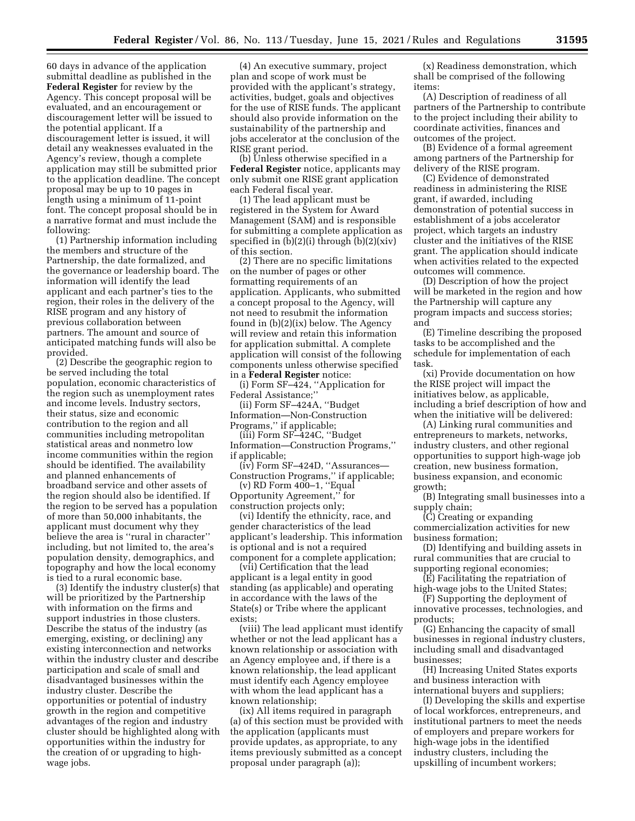60 days in advance of the application submittal deadline as published in the **Federal Register** for review by the Agency. This concept proposal will be evaluated, and an encouragement or discouragement letter will be issued to the potential applicant. If a discouragement letter is issued, it will detail any weaknesses evaluated in the Agency's review, though a complete application may still be submitted prior to the application deadline. The concept proposal may be up to 10 pages in length using a minimum of 11-point font. The concept proposal should be in a narrative format and must include the following:

(1) Partnership information including the members and structure of the Partnership, the date formalized, and the governance or leadership board. The information will identify the lead applicant and each partner's ties to the region, their roles in the delivery of the RISE program and any history of previous collaboration between partners. The amount and source of anticipated matching funds will also be provided.

(2) Describe the geographic region to be served including the total population, economic characteristics of the region such as unemployment rates and income levels. Industry sectors, their status, size and economic contribution to the region and all communities including metropolitan statistical areas and nonmetro low income communities within the region should be identified. The availability and planned enhancements of broadband service and other assets of the region should also be identified. If the region to be served has a population of more than 50,000 inhabitants, the applicant must document why they believe the area is ''rural in character'' including, but not limited to, the area's population density, demographics, and topography and how the local economy is tied to a rural economic base.

(3) Identify the industry cluster(s) that will be prioritized by the Partnership with information on the firms and support industries in those clusters. Describe the status of the industry (as emerging, existing, or declining) any existing interconnection and networks within the industry cluster and describe participation and scale of small and disadvantaged businesses within the industry cluster. Describe the opportunities or potential of industry growth in the region and competitive advantages of the region and industry cluster should be highlighted along with opportunities within the industry for the creation of or upgrading to highwage jobs.

(4) An executive summary, project plan and scope of work must be provided with the applicant's strategy, activities, budget, goals and objectives for the use of RISE funds. The applicant should also provide information on the sustainability of the partnership and jobs accelerator at the conclusion of the RISE grant period.

(b) Unless otherwise specified in a **Federal Register** notice, applicants may only submit one RISE grant application each Federal fiscal year.

(1) The lead applicant must be registered in the System for Award Management (SAM) and is responsible for submitting a complete application as specified in  $(b)(2)(i)$  through  $(b)(2)(xiv)$ of this section.

(2) There are no specific limitations on the number of pages or other formatting requirements of an application. Applicants, who submitted a concept proposal to the Agency, will not need to resubmit the information found in (b)(2)(ix) below. The Agency will review and retain this information for application submittal. A complete application will consist of the following components unless otherwise specified in a **Federal Register** notice:

(i) Form SF–424, ''Application for Federal Assistance;''

(ii) Form SF–424A, ''Budget Information—Non-Construction Programs,'' if applicable;

(iii) Form SF–424C, ''Budget Information—Construction Programs,'' if applicable;

(iv) Form SF–424D, ''Assurances— Construction Programs,'' if applicable;

 $(v)$  RD Form  $400-1$ , "Equal Opportunity Agreement,'' for construction projects only;

(vi) Identify the ethnicity, race, and gender characteristics of the lead applicant's leadership. This information is optional and is not a required component for a complete application;

(vii) Certification that the lead applicant is a legal entity in good standing (as applicable) and operating in accordance with the laws of the State(s) or Tribe where the applicant exists;

(viii) The lead applicant must identify whether or not the lead applicant has a known relationship or association with an Agency employee and, if there is a known relationship, the lead applicant must identify each Agency employee with whom the lead applicant has a known relationship;

(ix) All items required in paragraph (a) of this section must be provided with the application (applicants must provide updates, as appropriate, to any items previously submitted as a concept proposal under paragraph (a));

(x) Readiness demonstration, which shall be comprised of the following items:

(A) Description of readiness of all partners of the Partnership to contribute to the project including their ability to coordinate activities, finances and outcomes of the project.

(B) Evidence of a formal agreement among partners of the Partnership for delivery of the RISE program.

(C) Evidence of demonstrated readiness in administering the RISE grant, if awarded, including demonstration of potential success in establishment of a jobs accelerator project, which targets an industry cluster and the initiatives of the RISE grant. The application should indicate when activities related to the expected outcomes will commence.

(D) Description of how the project will be marketed in the region and how the Partnership will capture any program impacts and success stories; and

(E) Timeline describing the proposed tasks to be accomplished and the schedule for implementation of each task.

(xi) Provide documentation on how the RISE project will impact the initiatives below, as applicable, including a brief description of how and when the initiative will be delivered:

(A) Linking rural communities and entrepreneurs to markets, networks, industry clusters, and other regional opportunities to support high-wage job creation, new business formation, business expansion, and economic growth;

(B) Integrating small businesses into a supply chain;

(C) Creating or expanding commercialization activities for new business formation;

(D) Identifying and building assets in rural communities that are crucial to supporting regional economies;

(E) Facilitating the repatriation of high-wage jobs to the United States;

(F) Supporting the deployment of innovative processes, technologies, and products;

(G) Enhancing the capacity of small businesses in regional industry clusters, including small and disadvantaged businesses;

(H) Increasing United States exports and business interaction with international buyers and suppliers;

(I) Developing the skills and expertise of local workforces, entrepreneurs, and institutional partners to meet the needs of employers and prepare workers for high-wage jobs in the identified industry clusters, including the upskilling of incumbent workers;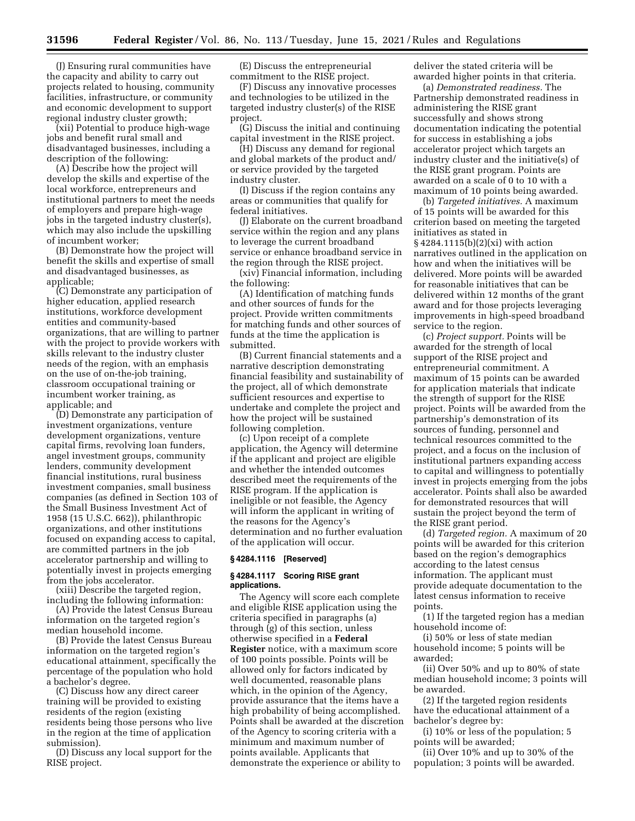(J) Ensuring rural communities have the capacity and ability to carry out projects related to housing, community facilities, infrastructure, or community and economic development to support regional industry cluster growth;

(xii) Potential to produce high-wage jobs and benefit rural small and disadvantaged businesses, including a description of the following:

(A) Describe how the project will develop the skills and expertise of the local workforce, entrepreneurs and institutional partners to meet the needs of employers and prepare high-wage jobs in the targeted industry cluster(s), which may also include the upskilling of incumbent worker;

(B) Demonstrate how the project will benefit the skills and expertise of small and disadvantaged businesses, as applicable;

(C) Demonstrate any participation of higher education, applied research institutions, workforce development entities and community-based organizations, that are willing to partner with the project to provide workers with skills relevant to the industry cluster needs of the region, with an emphasis on the use of on-the-job training, classroom occupational training or incumbent worker training, as applicable; and

(D) Demonstrate any participation of investment organizations, venture development organizations, venture capital firms, revolving loan funders, angel investment groups, community lenders, community development financial institutions, rural business investment companies, small business companies (as defined in Section 103 of the Small Business Investment Act of 1958 (15 U.S.C. 662)), philanthropic organizations, and other institutions focused on expanding access to capital, are committed partners in the job accelerator partnership and willing to potentially invest in projects emerging from the jobs accelerator.

(xiii) Describe the targeted region, including the following information:

(A) Provide the latest Census Bureau information on the targeted region's median household income.

(B) Provide the latest Census Bureau information on the targeted region's educational attainment, specifically the percentage of the population who hold a bachelor's degree.

(C) Discuss how any direct career training will be provided to existing residents of the region (existing residents being those persons who live in the region at the time of application submission).

(D) Discuss any local support for the RISE project.

(E) Discuss the entrepreneurial commitment to the RISE project.

(F) Discuss any innovative processes and technologies to be utilized in the targeted industry cluster(s) of the RISE project.

(G) Discuss the initial and continuing capital investment in the RISE project.

(H) Discuss any demand for regional and global markets of the product and/ or service provided by the targeted industry cluster.

(I) Discuss if the region contains any areas or communities that qualify for federal initiatives.

(J) Elaborate on the current broadband service within the region and any plans to leverage the current broadband service or enhance broadband service in the region through the RISE project.

(xiv) Financial information, including the following:

(A) Identification of matching funds and other sources of funds for the project. Provide written commitments for matching funds and other sources of funds at the time the application is submitted.

(B) Current financial statements and a narrative description demonstrating financial feasibility and sustainability of the project, all of which demonstrate sufficient resources and expertise to undertake and complete the project and how the project will be sustained following completion.

(c) Upon receipt of a complete application, the Agency will determine if the applicant and project are eligible and whether the intended outcomes described meet the requirements of the RISE program. If the application is ineligible or not feasible, the Agency will inform the applicant in writing of the reasons for the Agency's determination and no further evaluation of the application will occur.

# **§ 4284.1116 [Reserved]**

#### **§ 4284.1117 Scoring RISE grant applications.**

The Agency will score each complete and eligible RISE application using the criteria specified in paragraphs (a) through (g) of this section, unless otherwise specified in a **Federal Register** notice, with a maximum score of 100 points possible. Points will be allowed only for factors indicated by well documented, reasonable plans which, in the opinion of the Agency, provide assurance that the items have a high probability of being accomplished. Points shall be awarded at the discretion of the Agency to scoring criteria with a minimum and maximum number of points available. Applicants that demonstrate the experience or ability to

deliver the stated criteria will be awarded higher points in that criteria.

(a) *Demonstrated readiness.* The Partnership demonstrated readiness in administering the RISE grant successfully and shows strong documentation indicating the potential for success in establishing a jobs accelerator project which targets an industry cluster and the initiative(s) of the RISE grant program. Points are awarded on a scale of 0 to 10 with a maximum of 10 points being awarded.

(b) *Targeted initiatives.* A maximum of 15 points will be awarded for this criterion based on meeting the targeted initiatives as stated in § 4284.1115(b)(2)(xi) with action narratives outlined in the application on how and when the initiatives will be delivered. More points will be awarded for reasonable initiatives that can be delivered within 12 months of the grant award and for those projects leveraging improvements in high-speed broadband service to the region.

(c) *Project support.* Points will be awarded for the strength of local support of the RISE project and entrepreneurial commitment. A maximum of 15 points can be awarded for application materials that indicate the strength of support for the RISE project. Points will be awarded from the partnership's demonstration of its sources of funding, personnel and technical resources committed to the project, and a focus on the inclusion of institutional partners expanding access to capital and willingness to potentially invest in projects emerging from the jobs accelerator. Points shall also be awarded for demonstrated resources that will sustain the project beyond the term of the RISE grant period.

(d) *Targeted region.* A maximum of 20 points will be awarded for this criterion based on the region's demographics according to the latest census information. The applicant must provide adequate documentation to the latest census information to receive points.

(1) If the targeted region has a median household income of:

(i) 50% or less of state median household income; 5 points will be awarded;

(ii) Over 50% and up to 80% of state median household income; 3 points will be awarded.

(2) If the targeted region residents have the educational attainment of a bachelor's degree by:

(i) 10% or less of the population; 5 points will be awarded;

(ii) Over 10% and up to 30% of the population; 3 points will be awarded.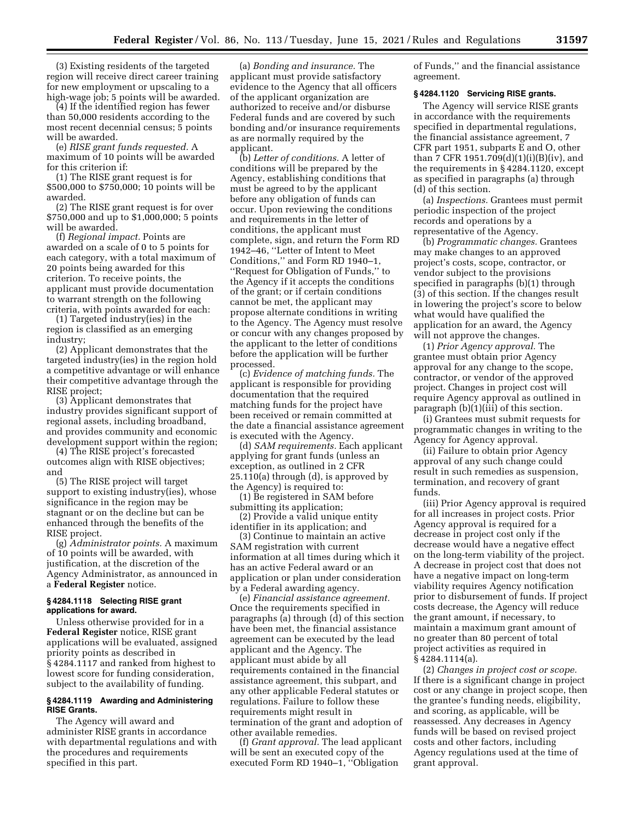(3) Existing residents of the targeted region will receive direct career training for new employment or upscaling to a high-wage job; 5 points will be awarded.

(4) If the identified region has fewer than 50,000 residents according to the most recent decennial census; 5 points will be awarded.

(e) *RISE grant funds requested.* A maximum of 10 points will be awarded for this criterion if:

(1) The RISE grant request is for \$500,000 to \$750,000; 10 points will be awarded.

(2) The RISE grant request is for over \$750,000 and up to \$1,000,000; 5 points will be awarded.

(f) *Regional impact.* Points are awarded on a scale of 0 to 5 points for each category, with a total maximum of 20 points being awarded for this criterion. To receive points, the applicant must provide documentation to warrant strength on the following criteria, with points awarded for each:

(1) Targeted industry(ies) in the region is classified as an emerging industry;

(2) Applicant demonstrates that the targeted industry(ies) in the region hold a competitive advantage or will enhance their competitive advantage through the RISE project;

(3) Applicant demonstrates that industry provides significant support of regional assets, including broadband, and provides community and economic development support within the region;

(4) The RISE project's forecasted outcomes align with RISE objectives; and

(5) The RISE project will target support to existing industry(ies), whose significance in the region may be stagnant or on the decline but can be enhanced through the benefits of the RISE project.

(g) *Administrator points.* A maximum of 10 points will be awarded, with justification, at the discretion of the Agency Administrator, as announced in a **Federal Register** notice.

# **§ 4284.1118 Selecting RISE grant applications for award.**

Unless otherwise provided for in a **Federal Register** notice, RISE grant applications will be evaluated, assigned priority points as described in § 4284.1117 and ranked from highest to lowest score for funding consideration, subject to the availability of funding.

### **§ 4284.1119 Awarding and Administering RISE Grants.**

The Agency will award and administer RISE grants in accordance with departmental regulations and with the procedures and requirements specified in this part.

(a) *Bonding and insurance.* The applicant must provide satisfactory evidence to the Agency that all officers of the applicant organization are authorized to receive and/or disburse Federal funds and are covered by such bonding and/or insurance requirements as are normally required by the applicant.

(b) *Letter of conditions.* A letter of conditions will be prepared by the Agency, establishing conditions that must be agreed to by the applicant before any obligation of funds can occur. Upon reviewing the conditions and requirements in the letter of conditions, the applicant must complete, sign, and return the Form RD 1942–46, ''Letter of Intent to Meet Conditions,'' and Form RD 1940–1, ''Request for Obligation of Funds,'' to the Agency if it accepts the conditions of the grant; or if certain conditions cannot be met, the applicant may propose alternate conditions in writing to the Agency. The Agency must resolve or concur with any changes proposed by the applicant to the letter of conditions before the application will be further processed.

(c) *Evidence of matching funds.* The applicant is responsible for providing documentation that the required matching funds for the project have been received or remain committed at the date a financial assistance agreement is executed with the Agency.

(d) *SAM requirements.* Each applicant applying for grant funds (unless an exception, as outlined in 2 CFR 25.110(a) through (d), is approved by the Agency) is required to:

(1) Be registered in SAM before submitting its application;

(2) Provide a valid unique entity identifier in its application; and

(3) Continue to maintain an active SAM registration with current information at all times during which it has an active Federal award or an application or plan under consideration by a Federal awarding agency.

(e) *Financial assistance agreement.*  Once the requirements specified in paragraphs (a) through (d) of this section have been met, the financial assistance agreement can be executed by the lead applicant and the Agency. The applicant must abide by all requirements contained in the financial assistance agreement, this subpart, and any other applicable Federal statutes or regulations. Failure to follow these requirements might result in termination of the grant and adoption of other available remedies.

(f) *Grant approval.* The lead applicant will be sent an executed copy of the executed Form RD 1940–1, ''Obligation

of Funds,'' and the financial assistance agreement.

# **§ 4284.1120 Servicing RISE grants.**

The Agency will service RISE grants in accordance with the requirements specified in departmental regulations, the financial assistance agreement, 7 CFR part 1951, subparts E and O, other than 7 CFR 1951.709(d)(1)(i)(B)(iv), and the requirements in § 4284.1120, except as specified in paragraphs (a) through (d) of this section.

(a) *Inspections.* Grantees must permit periodic inspection of the project records and operations by a representative of the Agency.

(b) *Programmatic changes.* Grantees may make changes to an approved project's costs, scope, contractor, or vendor subject to the provisions specified in paragraphs (b)(1) through (3) of this section. If the changes result in lowering the project's score to below what would have qualified the application for an award, the Agency will not approve the changes.

(1) *Prior Agency approval.* The grantee must obtain prior Agency approval for any change to the scope, contractor, or vendor of the approved project. Changes in project cost will require Agency approval as outlined in paragraph (b)(1)(iii) of this section.

(i) Grantees must submit requests for programmatic changes in writing to the Agency for Agency approval.

(ii) Failure to obtain prior Agency approval of any such change could result in such remedies as suspension, termination, and recovery of grant funds.

(iii) Prior Agency approval is required for all increases in project costs. Prior Agency approval is required for a decrease in project cost only if the decrease would have a negative effect on the long-term viability of the project. A decrease in project cost that does not have a negative impact on long-term viability requires Agency notification prior to disbursement of funds. If project costs decrease, the Agency will reduce the grant amount, if necessary, to maintain a maximum grant amount of no greater than 80 percent of total project activities as required in § 4284.1114(a).

(2) *Changes in project cost or scope.*  If there is a significant change in project cost or any change in project scope, then the grantee's funding needs, eligibility, and scoring, as applicable, will be reassessed. Any decreases in Agency funds will be based on revised project costs and other factors, including Agency regulations used at the time of grant approval.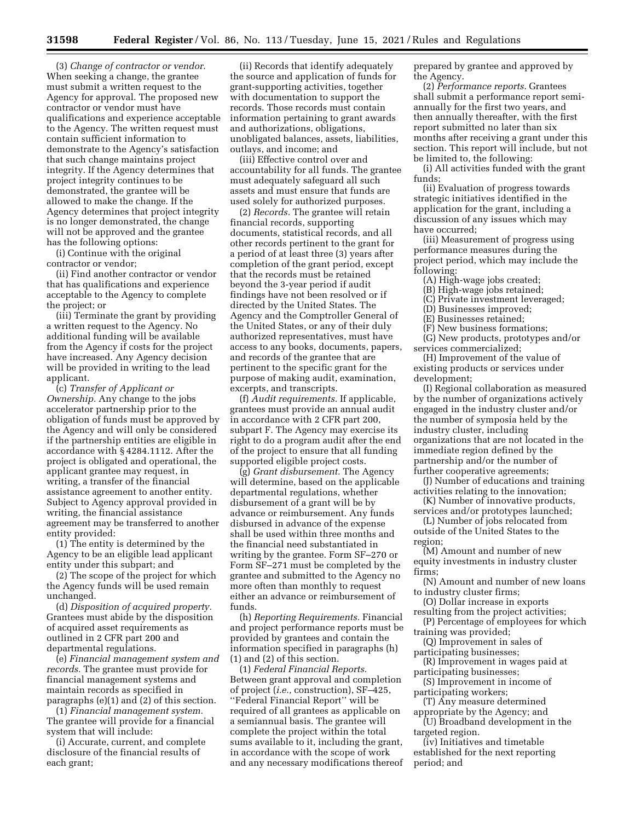(3) *Change of contractor or vendor.*  When seeking a change, the grantee must submit a written request to the Agency for approval. The proposed new contractor or vendor must have qualifications and experience acceptable to the Agency. The written request must contain sufficient information to demonstrate to the Agency's satisfaction that such change maintains project integrity. If the Agency determines that project integrity continues to be demonstrated, the grantee will be allowed to make the change. If the Agency determines that project integrity is no longer demonstrated, the change will not be approved and the grantee has the following options:

(i) Continue with the original contractor or vendor;

(ii) Find another contractor or vendor that has qualifications and experience acceptable to the Agency to complete the project; or

(iii) Terminate the grant by providing a written request to the Agency. No additional funding will be available from the Agency if costs for the project have increased. Any Agency decision will be provided in writing to the lead applicant.

(c) *Transfer of Applicant or Ownership.* Any change to the jobs accelerator partnership prior to the obligation of funds must be approved by the Agency and will only be considered if the partnership entities are eligible in accordance with § 4284.1112. After the project is obligated and operational, the applicant grantee may request, in writing, a transfer of the financial assistance agreement to another entity. Subject to Agency approval provided in writing, the financial assistance agreement may be transferred to another entity provided:

(1) The entity is determined by the Agency to be an eligible lead applicant entity under this subpart; and

(2) The scope of the project for which the Agency funds will be used remain unchanged.

(d) *Disposition of acquired property.*  Grantees must abide by the disposition of acquired asset requirements as outlined in 2 CFR part 200 and departmental regulations.

(e) *Financial management system and records.* The grantee must provide for financial management systems and maintain records as specified in paragraphs (e)(1) and (2) of this section.

(1) *Financial management system.*  The grantee will provide for a financial system that will include:

(i) Accurate, current, and complete disclosure of the financial results of each grant;

(ii) Records that identify adequately the source and application of funds for grant-supporting activities, together with documentation to support the records. Those records must contain information pertaining to grant awards and authorizations, obligations, unobligated balances, assets, liabilities, outlays, and income; and

(iii) Effective control over and accountability for all funds. The grantee must adequately safeguard all such assets and must ensure that funds are used solely for authorized purposes.

(2) *Records.* The grantee will retain financial records, supporting documents, statistical records, and all other records pertinent to the grant for a period of at least three (3) years after completion of the grant period, except that the records must be retained beyond the 3-year period if audit findings have not been resolved or if directed by the United States. The Agency and the Comptroller General of the United States, or any of their duly authorized representatives, must have access to any books, documents, papers, and records of the grantee that are pertinent to the specific grant for the purpose of making audit, examination, excerpts, and transcripts.

(f) *Audit requirements.* If applicable, grantees must provide an annual audit in accordance with 2 CFR part 200, subpart F. The Agency may exercise its right to do a program audit after the end of the project to ensure that all funding supported eligible project costs.

(g) *Grant disbursement.* The Agency will determine, based on the applicable departmental regulations, whether disbursement of a grant will be by advance or reimbursement. Any funds disbursed in advance of the expense shall be used within three months and the financial need substantiated in writing by the grantee. Form SF–270 or Form SF–271 must be completed by the grantee and submitted to the Agency no more often than monthly to request either an advance or reimbursement of funds.

(h) *Reporting Requirements.* Financial and project performance reports must be provided by grantees and contain the information specified in paragraphs (h) (1) and (2) of this section.

(1) *Federal Financial Reports.*  Between grant approval and completion of project (*i.e.,* construction), SF–425, ''Federal Financial Report'' will be required of all grantees as applicable on a semiannual basis. The grantee will complete the project within the total sums available to it, including the grant, in accordance with the scope of work and any necessary modifications thereof prepared by grantee and approved by the Agency.

(2) *Performance reports.* Grantees shall submit a performance report semiannually for the first two years, and then annually thereafter, with the first report submitted no later than six months after receiving a grant under this section. This report will include, but not be limited to, the following:

(i) All activities funded with the grant funds;

(ii) Evaluation of progress towards strategic initiatives identified in the application for the grant, including a discussion of any issues which may have occurred;

(iii) Measurement of progress using performance measures during the project period, which may include the following:

(A) High-wage jobs created;

- (B) High-wage jobs retained;
- (C) Private investment leveraged;

(D) Businesses improved;

(E) Businesses retained;

(F) New business formations;

(G) New products, prototypes and/or services commercialized;

(H) Improvement of the value of existing products or services under development;

(I) Regional collaboration as measured by the number of organizations actively engaged in the industry cluster and/or the number of symposia held by the industry cluster, including organizations that are not located in the immediate region defined by the partnership and/or the number of further cooperative agreements;

(J) Number of educations and training activities relating to the innovation;

(K) Number of innovative products, services and/or prototypes launched;

(L) Number of jobs relocated from outside of the United States to the region;

(M) Amount and number of new equity investments in industry cluster firms;

(N) Amount and number of new loans to industry cluster firms;

(O) Dollar increase in exports

resulting from the project activities; (P) Percentage of employees for which

training was provided;

(Q) Improvement in sales of participating businesses;

(R) Improvement in wages paid at

participating businesses; (S) Improvement in income of participating workers;

(T) Any measure determined

appropriate by the Agency; and (U) Broadband development in the targeted region.

(iv) Initiatives and timetable established for the next reporting period; and